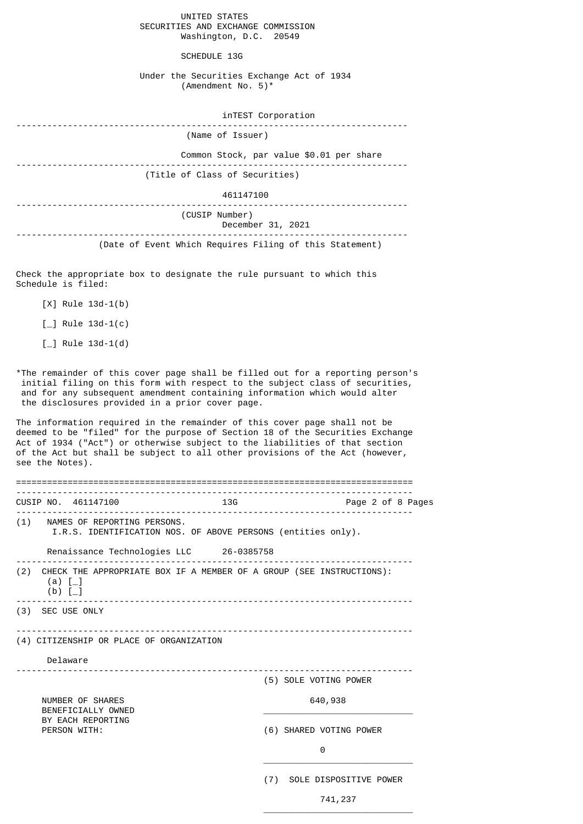UNITED STATES SECURITIES AND EXCHANGE COMMISSION Washington, D.C. 20549

SCHEDULE 13G

Under the Securities Exchange Act of 1934 (Amendment No. 5)\*

| inTEST Corporation                                      |
|---------------------------------------------------------|
| (Name of Issuer)                                        |
| Common Stock, par value \$0.01 per share                |
| (Title of Class of Securities)                          |
| 461147100                                               |
| (CUSIP Number)<br>December 31, 2021                     |
| (Date of Event Which Requires Filing of this Statement) |

Check the appropriate box to designate the rule pursuant to which this Schedule is filed:

[X] Rule 13d-1(b)

 $\lceil \_$  Rule 13d-1(c)

 $[-]$  Rule 13d-1(d)

\*The remainder of this cover page shall be filled out for a reporting person's initial filing on this form with respect to the subject class of securities, and for any subsequent amendment containing information which would alter the disclosures provided in a prior cover page.

The information required in the remainder of this cover page shall not be deemed to be "filed" for the purpose of Section 18 of the Securities Exchange Act of 1934 ("Act") or otherwise subject to the liabilities of that section of the Act but shall be subject to all other provisions of the Act (however, see the Notes).

|                                          |                                                                                                    | CUSIP NO. 461147100                     |  | <b>13G</b>              |                            | Page 2 of 8 Pages |  |
|------------------------------------------|----------------------------------------------------------------------------------------------------|-----------------------------------------|--|-------------------------|----------------------------|-------------------|--|
|                                          | (1) NAMES OF REPORTING PERSONS.<br>I.R.S. IDENTIFICATION NOS. OF ABOVE PERSONS (entities only).    |                                         |  |                         |                            |                   |  |
|                                          |                                                                                                    | Renaissance Technologies LLC 26-0385758 |  |                         |                            |                   |  |
|                                          | (2) CHECK THE APPROPRIATE BOX IF A MEMBER OF A GROUP (SEE INSTRUCTIONS):<br>(a) $[-]$<br>$(b)$ [_] |                                         |  |                         |                            |                   |  |
|                                          |                                                                                                    | (3) SEC USE ONLY                        |  |                         |                            |                   |  |
| (4) CITIZENSHIP OR PLACE OF ORGANIZATION |                                                                                                    |                                         |  |                         |                            |                   |  |
|                                          | Delaware                                                                                           |                                         |  |                         |                            |                   |  |
|                                          |                                                                                                    |                                         |  |                         | (5) SOLE VOTING POWER      |                   |  |
|                                          | NUMBER OF SHARES<br>BENEFICIALLY OWNED                                                             |                                         |  |                         | 640,938                    |                   |  |
|                                          | BY EACH REPORTING<br>PERSON WITH:                                                                  |                                         |  | (6) SHARED VOTING POWER |                            |                   |  |
|                                          |                                                                                                    |                                         |  | 0                       |                            |                   |  |
|                                          |                                                                                                    |                                         |  |                         | (7) SOLE DISPOSITIVE POWER |                   |  |

 $\overline{\phantom{a}}$  , and the state of the state of the state of the state of the state of the state of the state of the state of the state of the state of the state of the state of the state of the state of the state of the stat

741,237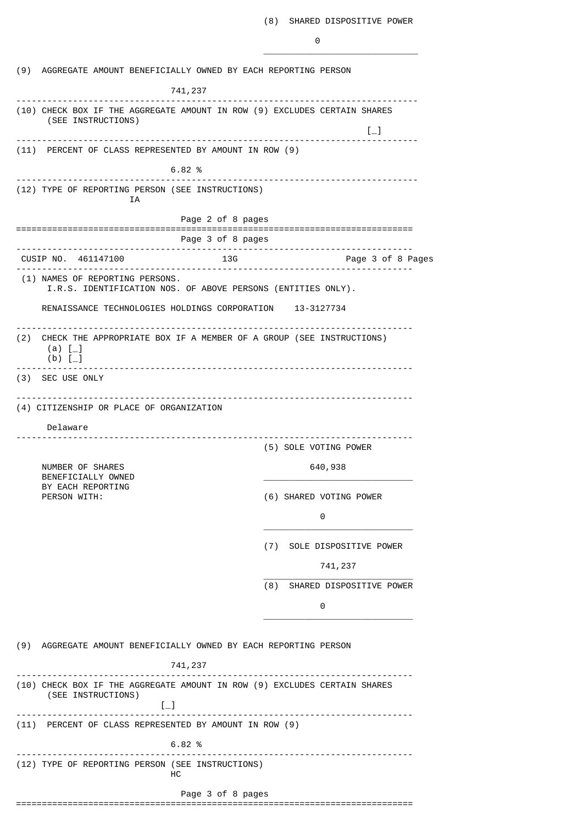0

|     | (9) AGGREGATE AMOUNT BENEFICIALLY OWNED BY EACH REPORTING PERSON                                         |                                     |                                 |                                                         |  |  |
|-----|----------------------------------------------------------------------------------------------------------|-------------------------------------|---------------------------------|---------------------------------------------------------|--|--|
|     |                                                                                                          | 741,237                             |                                 |                                                         |  |  |
|     | (10) CHECK BOX IF THE AGGREGATE AMOUNT IN ROW (9) EXCLUDES CERTAIN SHARES<br>(SEE INSTRUCTIONS)          |                                     |                                 | $\left[\begin{smallmatrix}1\\1\end{smallmatrix}\right]$ |  |  |
|     | (11) PERCENT OF CLASS REPRESENTED BY AMOUNT IN ROW (9)                                                   |                                     |                                 |                                                         |  |  |
|     |                                                                                                          | 6.82%                               |                                 |                                                         |  |  |
|     | (12) TYPE OF REPORTING PERSON (SEE INSTRUCTIONS)                                                         |                                     | --------------------            |                                                         |  |  |
|     | ΙA                                                                                                       |                                     |                                 |                                                         |  |  |
|     |                                                                                                          | Page 2 of 8 pages                   |                                 |                                                         |  |  |
|     |                                                                                                          | Page 3 of 8 pages                   | ------------------------------- |                                                         |  |  |
|     | CUSIP NO. 461147100                                                                                      | 13G<br>.                            |                                 | Page 3 of 8 Pages                                       |  |  |
|     | (1) NAMES OF REPORTING PERSONS.<br>I.R.S. IDENTIFICATION NOS. OF ABOVE PERSONS (ENTITIES ONLY).          |                                     |                                 |                                                         |  |  |
|     | RENAISSANCE TECHNOLOGIES HOLDINGS CORPORATION 13-3127734                                                 |                                     |                                 |                                                         |  |  |
| (2) | CHECK THE APPROPRIATE BOX IF A MEMBER OF A GROUP (SEE INSTRUCTIONS)<br>(a) $[-]$<br>$(b)$ [              |                                     |                                 |                                                         |  |  |
|     | (3) SEC USE ONLY                                                                                         |                                     |                                 |                                                         |  |  |
|     |                                                                                                          |                                     |                                 |                                                         |  |  |
|     | (4) CITIZENSHIP OR PLACE OF ORGANIZATION                                                                 |                                     |                                 |                                                         |  |  |
|     | Delaware                                                                                                 | ----------------------------------- |                                 |                                                         |  |  |
|     |                                                                                                          |                                     | (5) SOLE VOTING POWER           |                                                         |  |  |
|     | NUMBER OF SHARES<br>BENEFICIALLY OWNED                                                                   |                                     | 640,938                         |                                                         |  |  |
|     | BY EACH REPORTING<br>PERSON WITH:                                                                        |                                     | (6) SHARED VOTING POWER         |                                                         |  |  |
|     |                                                                                                          |                                     | 0                               |                                                         |  |  |
|     |                                                                                                          |                                     | (7) SOLE DISPOSITIVE POWER      |                                                         |  |  |
|     |                                                                                                          |                                     | 741, 237                        |                                                         |  |  |
|     |                                                                                                          |                                     | (8)                             | SHARED DISPOSITIVE POWER                                |  |  |
|     |                                                                                                          |                                     | 0                               |                                                         |  |  |
|     |                                                                                                          |                                     |                                 |                                                         |  |  |
|     | (9) AGGREGATE AMOUNT BENEFICIALLY OWNED BY EACH REPORTING PERSON                                         |                                     |                                 |                                                         |  |  |
|     |                                                                                                          | 741,237                             |                                 |                                                         |  |  |
|     | (10) CHECK BOX IF THE AGGREGATE AMOUNT IN ROW (9) EXCLUDES CERTAIN SHARES<br>(SEE INSTRUCTIONS)<br>$[-]$ |                                     |                                 |                                                         |  |  |
|     | (11) PERCENT OF CLASS REPRESENTED BY AMOUNT IN ROW (9)                                                   |                                     |                                 |                                                         |  |  |
|     |                                                                                                          | 6.82%                               |                                 |                                                         |  |  |
|     | (12) TYPE OF REPORTING PERSON (SEE INSTRUCTIONS)                                                         | нc                                  |                                 |                                                         |  |  |
|     |                                                                                                          | Page 3 of 8 pages                   |                                 |                                                         |  |  |
|     |                                                                                                          |                                     |                                 |                                                         |  |  |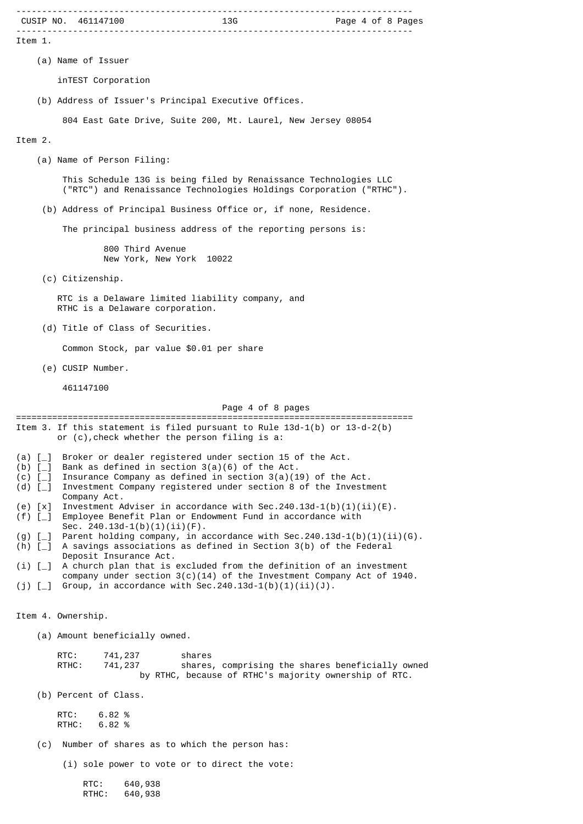| CUSIP NO. 461147100                                                                                                                                                       |
|---------------------------------------------------------------------------------------------------------------------------------------------------------------------------|
| Item 1.                                                                                                                                                                   |
| (a) Name of Issuer                                                                                                                                                        |
| inTEST Corporation                                                                                                                                                        |
| (b) Address of Issuer's Principal Executive Offices.                                                                                                                      |
| 804 East Gate Drive, Suite 200, Mt. Laurel, New Jersey 08054                                                                                                              |
| Item 2.                                                                                                                                                                   |
| (a) Name of Person Filing:                                                                                                                                                |
| This Schedule 13G is being filed by Renaissance Technologies LLC<br>("RTC") and Renaissance Technologies Holdings Corporation ("RTHC").                                   |
| (b) Address of Principal Business Office or, if none, Residence.                                                                                                          |
| The principal business address of the reporting persons is:                                                                                                               |
| 800 Third Avenue<br>New York, New York 10022                                                                                                                              |
| (c) Citizenship.                                                                                                                                                          |
| RTC is a Delaware limited liability company, and<br>RTHC is a Delaware corporation.                                                                                       |
| (d) Title of Class of Securities.                                                                                                                                         |
| Common Stock, par value \$0.01 per share                                                                                                                                  |
| (e) CUSIP Number.                                                                                                                                                         |
| 461147100                                                                                                                                                                 |
| Page 4 of 8 pages                                                                                                                                                         |
| Item 3. If this statement is filed pursuant to Rule $13d-1(b)$ or $13-d-2(b)$<br>or (c), check whether the person filing is a:                                            |
| (a) $[-]$<br>Broker or dealer registered under section 15 of the Act.<br>Bank as defined in section $3(a)(6)$ of the Act.<br>$(b)$ [_]                                    |
| Insurance Company as defined in section $3(a)(19)$ of the Act.<br>$(c)$ [<br>Investment Company registered under section 8 of the Investment<br>(d) $[-]$<br>Company Act. |
| Investment Adviser in accordance with Sec.240.13d-1(b)(1)(ii)(E).<br>$(e)$ $[x]$<br>Employee Benefit Plan or Endowment Fund in accordance with<br>$(f)$ [                 |
| Sec. $240.13d-1(b)(1)(ii)(F)$ .<br>Parent holding company, in accordance with Sec. 240.13d-1(b)(1)(ii)(G).<br>$(g)$ [                                                     |
| A savings associations as defined in Section 3(b) of the Federal<br>$(h)$ $[-]$<br>Deposit Insurance Act.                                                                 |
| A church plan that is excluded from the definition of an investment<br>(i) [<br>company under section $3(c)(14)$ of the Investment Company Act of 1940.                   |
| Group, in accordance with Sec.240.13d-1(b)(1)(ii)(J).<br>$(j)$ [_]                                                                                                        |
| Item 4. Ownership.                                                                                                                                                        |
| (a) Amount beneficially owned.                                                                                                                                            |
| RTC:<br>741, 237<br>shares<br>RTHC:<br>741,237<br>shares, comprising the shares beneficially owned<br>by RTHC, because of RTHC's majority ownership of RTC.               |
| (b) Percent of Class.                                                                                                                                                     |
| RTC:<br>6.82%<br>6.82 %<br>RTHC:                                                                                                                                          |
| Number of shares as to which the person has:<br>(c)                                                                                                                       |
| (i) sole power to vote or to direct the vote:                                                                                                                             |
| RTC:<br>640,938<br>RTHC:<br>640,938                                                                                                                                       |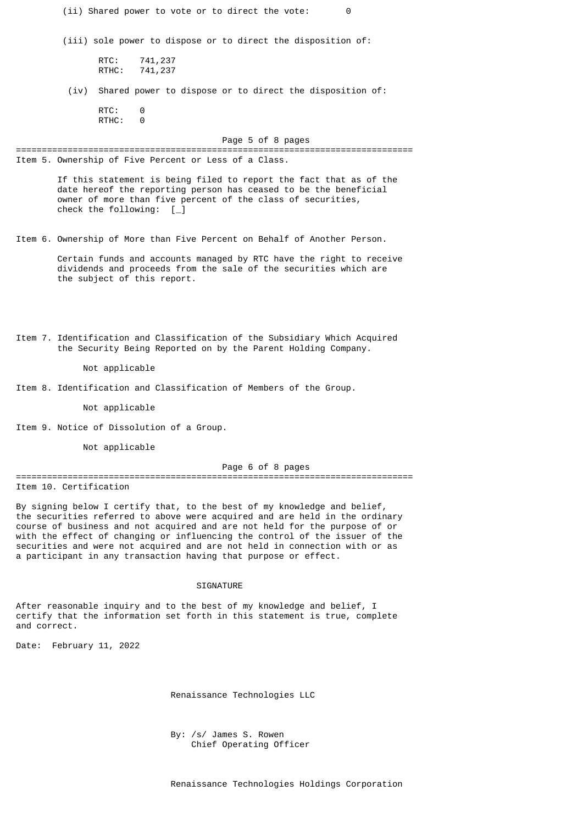| (ii) Shared power to vote or to direct the vote:                                                                                                                                                                                                                                                                                                                                                                                                                      | 0                 |  |  |  |  |  |
|-----------------------------------------------------------------------------------------------------------------------------------------------------------------------------------------------------------------------------------------------------------------------------------------------------------------------------------------------------------------------------------------------------------------------------------------------------------------------|-------------------|--|--|--|--|--|
| (iii) sole power to dispose or to direct the disposition of:                                                                                                                                                                                                                                                                                                                                                                                                          |                   |  |  |  |  |  |
| RTC:<br>741, 237<br>741,237<br>RTHC:                                                                                                                                                                                                                                                                                                                                                                                                                                  |                   |  |  |  |  |  |
| Shared power to dispose or to direct the disposition of:<br>(iv)                                                                                                                                                                                                                                                                                                                                                                                                      |                   |  |  |  |  |  |
| RTC:<br>0<br>RTHC:<br>0                                                                                                                                                                                                                                                                                                                                                                                                                                               |                   |  |  |  |  |  |
|                                                                                                                                                                                                                                                                                                                                                                                                                                                                       | Page 5 of 8 pages |  |  |  |  |  |
| Item 5. Ownership of Five Percent or Less of a Class.                                                                                                                                                                                                                                                                                                                                                                                                                 |                   |  |  |  |  |  |
| If this statement is being filed to report the fact that as of the<br>date hereof the reporting person has ceased to be the beneficial<br>owner of more than five percent of the class of securities,<br>check the following: $[\ ]$                                                                                                                                                                                                                                  |                   |  |  |  |  |  |
| Item 6. Ownership of More than Five Percent on Behalf of Another Person.                                                                                                                                                                                                                                                                                                                                                                                              |                   |  |  |  |  |  |
| Certain funds and accounts managed by RTC have the right to receive<br>dividends and proceeds from the sale of the securities which are<br>the subject of this report.                                                                                                                                                                                                                                                                                                |                   |  |  |  |  |  |
| Item 7. Identification and Classification of the Subsidiary Which Acquired<br>the Security Being Reported on by the Parent Holding Company.<br>Not applicable                                                                                                                                                                                                                                                                                                         |                   |  |  |  |  |  |
| Item 8. Identification and Classification of Members of the Group.                                                                                                                                                                                                                                                                                                                                                                                                    |                   |  |  |  |  |  |
| Not applicable                                                                                                                                                                                                                                                                                                                                                                                                                                                        |                   |  |  |  |  |  |
| Item 9. Notice of Dissolution of a Group.                                                                                                                                                                                                                                                                                                                                                                                                                             |                   |  |  |  |  |  |
| Not applicable                                                                                                                                                                                                                                                                                                                                                                                                                                                        |                   |  |  |  |  |  |
|                                                                                                                                                                                                                                                                                                                                                                                                                                                                       | Page 6 of 8 pages |  |  |  |  |  |
| Item 10. Certification                                                                                                                                                                                                                                                                                                                                                                                                                                                |                   |  |  |  |  |  |
| By signing below I certify that, to the best of my knowledge and belief,<br>the securities referred to above were acquired and are held in the ordinary<br>course of business and not acquired and are not held for the purpose of or<br>with the effect of changing or influencing the control of the issuer of the<br>securities and were not acquired and are not held in connection with or as<br>a participant in any transaction having that purpose or effect. |                   |  |  |  |  |  |
| <b>SIGNATURE</b>                                                                                                                                                                                                                                                                                                                                                                                                                                                      |                   |  |  |  |  |  |
| After reasonable inquiry and to the best of my knowledge and belief, I<br>certify that the information set forth in this statement is true, complete<br>and correct.                                                                                                                                                                                                                                                                                                  |                   |  |  |  |  |  |

Date: February 11, 2022

Renaissance Technologies LLC

 By: /s/ James S. Rowen Chief Operating Officer